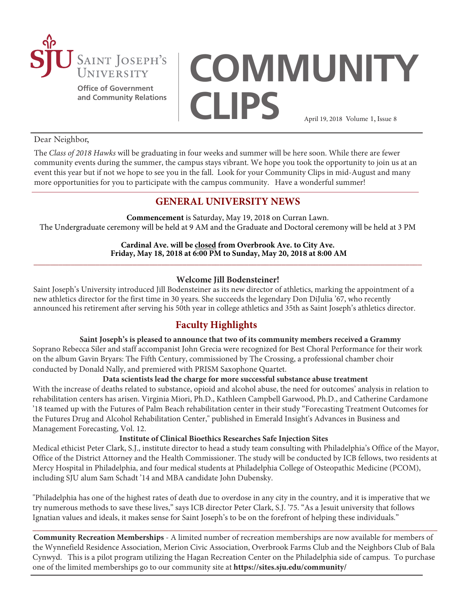

**Office of Government and Community Relations**

# **COMMUNITY CLIPS** April 19, 2018 Volume 1, Issue 8

#### Dear Neighbor,

The *Class of 2018 Hawks* will be graduating in four weeks and summer will be here soon. While there are fewer community events during the summer, the campus stays vibrant. We hope you took the opportunity to join us at an event this year but if not we hope to see you in the fall. Look for your Community Clips in mid-August and many more opportunities for you to participate with the campus community. Have a wonderful summer!

# **GENERAL UNIVERSITY NEWS**

**Commencement** is Saturday, May 19, 2018 on Curran Lawn. The Undergraduate ceremony will be held at 9 AM and the Graduate and Doctoral ceremony will be held at 3 PM

**Cardinal Ave. will be closed from Overbrook Ave. to City Ave. Friday, May 18, 2018 at 6:00 PM to Sunday, May 20, 2018 at 8:00 AM \_\_\_\_\_\_\_\_\_\_\_\_\_\_\_\_\_\_\_\_\_\_\_\_\_\_\_\_\_\_\_\_\_\_\_\_\_\_\_\_\_\_\_\_\_\_\_\_\_\_\_\_\_\_\_\_\_\_\_\_\_\_\_\_\_\_\_\_\_\_\_\_\_\_\_\_\_\_\_\_\_\_\_\_\_\_\_\_\_\_\_\_\_\_**

# **Welcome Jill Bodensteiner!**

Saint Joseph's University introduced Jill Bodensteiner as its new director of athletics, marking the appointment of a new athletics director for the first time in 30 years. She succeeds the legendary Don DiJulia '67, who recently announced his retirement after serving his 50th year in college athletics and 35th as Saint Joseph's athletics director.

# **Faculty Highlights**

## **Saint Joseph's is pleased to announce that two of its community members received a Grammy**

Soprano Rebecca Siler and staff accompanist John Grecia were recognized for Best Choral Performance for their work on the album Gavin Bryars: The Fifth Century, commissioned by The Crossing, a professional chamber choir conducted by Donald Nally, and premiered with PRISM Saxophone Quartet.

## **Data scientists lead the charge for more successful substance abuse treatment**

With the increase of deaths related to substance, opioid and alcohol abuse, the need for outcomes' analysis in relation to rehabilitation centers has arisen. Virginia Miori, Ph.D., Kathleen Campbell Garwood, Ph.D., and Catherine Cardamone '18 teamed up with the Futures of Palm Beach rehabilitation center in their study "Forecasting Treatment Outcomes for the Futures Drug and Alcohol Rehabilitation Center," published in Emerald Insight's Advances in Business and Management Forecasting, Vol. 12.

#### **Institute of Clinical Bioethics Researches Safe Injection Sites**

Medical ethicist Peter Clark, S.J., institute director to head a study team consulting with Philadelphia's Office of the Mayor, Office of the District Attorney and the Health Commissioner. The study will be conducted by ICB fellows, two residents at Mercy Hospital in Philadelphia, and four medical students at Philadelphia College of Osteopathic Medicine (PCOM), including SJU alum Sam Schadt '14 and MBA candidate John Dubensky.

"Philadelphia has one of the highest rates of death due to overdose in any city in the country, and it is imperative that we try numerous methods to save these lives," says ICB director Peter Clark, S.J. '75. "As a Jesuit university that follows Ignatian values and ideals, it makes sense for Saint Joseph's to be on the forefront of helping these individuals."

\_\_\_\_\_\_\_\_\_\_\_\_\_\_\_\_\_\_\_\_\_\_\_\_\_\_\_\_\_\_\_\_\_\_\_\_\_\_\_\_\_\_\_\_\_\_\_\_\_\_\_\_\_\_\_\_\_\_\_\_\_\_\_\_\_\_\_\_\_\_\_\_\_\_\_\_\_\_\_\_\_\_\_\_\_\_\_\_\_\_\_\_\_\_\_\_\_\_ **Community Recreation Memberships** - A limited number of recreation memberships are now available for members of the Wynnefield Residence Association, Merion Civic Association, Overbrook Farms Club and the Neighbors Club of Bala Cynwyd. This is a pilot program utilizing the Hagan Recreation Center on the Philadelphia side of campus. To purchase one of the limited memberships go to our community site at **<https://sites.sju.edu/community/>**